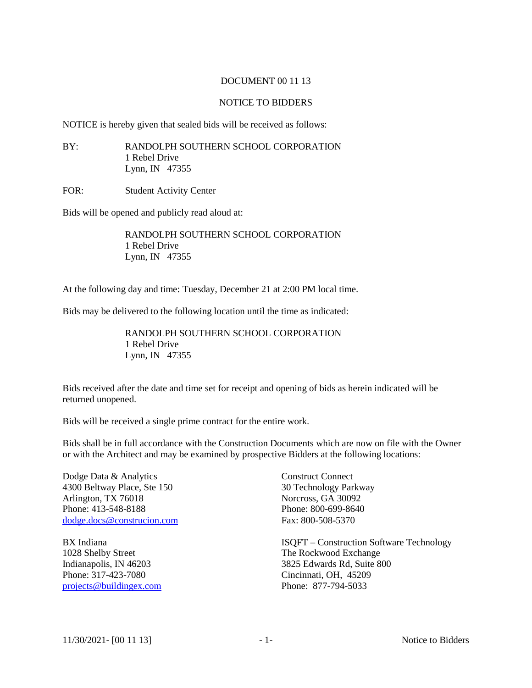## DOCUMENT 00 11 13

## NOTICE TO BIDDERS

NOTICE is hereby given that sealed bids will be received as follows:

BY: RANDOLPH SOUTHERN SCHOOL CORPORATION 1 Rebel Drive Lynn, IN 47355

FOR: Student Activity Center

Bids will be opened and publicly read aloud at:

RANDOLPH SOUTHERN SCHOOL CORPORATION 1 Rebel Drive Lynn, IN 47355

At the following day and time: Tuesday, December 21 at 2:00 PM local time.

Bids may be delivered to the following location until the time as indicated:

RANDOLPH SOUTHERN SCHOOL CORPORATION 1 Rebel Drive Lynn, IN 47355

Bids received after the date and time set for receipt and opening of bids as herein indicated will be returned unopened.

Bids will be received a single prime contract for the entire work.

Bids shall be in full accordance with the Construction Documents which are now on file with the Owner or with the Architect and may be examined by prospective Bidders at the following locations:

Dodge Data & Analytics Construct Connect 4300 Beltway Place, Ste 150 30 Technology Parkway Arlington, TX 76018 Norcross, GA 30092 Phone: 413-548-8188 Phone: 800-699-8640 [dodge.docs@construcion.com](mailto:dodge.docs@construcion.com) Fax: 800-508-5370

Phone: 317-423-7080 Cincinnati, OH, 45209 [projects@buildingex.com](mailto:projects@buildingex.com) Phone: 877-794-5033

BX Indiana **ISQFT** – Construction Software Technology 1028 Shelby Street The Rockwood Exchange Indianapolis, IN 46203 3825 Edwards Rd, Suite 800